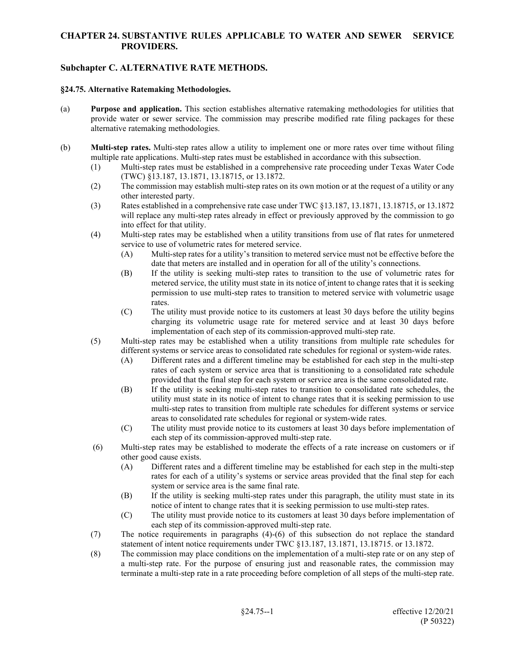## **CHAPTER 24. SUBSTANTIVE RULES APPLICABLE TO WATER AND SEWER SERVICE PROVIDERS.**

# **Subchapter C. ALTERNATIVE RATE METHODS.**

#### **§24.75. Alternative Ratemaking Methodologies.**

- (a) **Purpose and application.** This section establishes alternative ratemaking methodologies for utilities that provide water or sewer service. The commission may prescribe modified rate filing packages for these alternative ratemaking methodologies.
- (b) **Multi-step rates.** Multi-step rates allow a utility to implement one or more rates over time without filing multiple rate applications. Multi-step rates must be established in accordance with this subsection.
	- (1) Multi-step rates must be established in a comprehensive rate proceeding under Texas Water Code (TWC) §13.187, 13.1871, 13.18715, or 13.1872.
	- (2) The commission may establish multi-step rates on its own motion or at the request of a utility or any other interested party.
	- (3) Rates established in a comprehensive rate case under TWC §13.187, 13.1871, 13.18715, or 13.1872 will replace any multi-step rates already in effect or previously approved by the commission to go into effect for that utility.
	- (4) Multi-step rates may be established when a utility transitions from use of flat rates for unmetered service to use of volumetric rates for metered service.
		- (A) Multi-step rates for a utility's transition to metered service must not be effective before the date that meters are installed and in operation for all of the utility's connections.
		- (B) If the utility is seeking multi-step rates to transition to the use of volumetric rates for metered service, the utility must state in its notice of intent to change rates that it is seeking permission to use multi-step rates to transition to metered service with volumetric usage rates.
		- (C) The utility must provide notice to its customers at least 30 days before the utility begins charging its volumetric usage rate for metered service and at least 30 days before implementation of each step of its commission-approved multi-step rate.
	- (5) Multi-step rates may be established when a utility transitions from multiple rate schedules for different systems or service areas to consolidated rate schedules for regional or system-wide rates.
		- (A) Different rates and a different timeline may be established for each step in the multi-step rates of each system or service area that is transitioning to a consolidated rate schedule provided that the final step for each system or service area is the same consolidated rate.
		- (B) If the utility is seeking multi-step rates to transition to consolidated rate schedules, the utility must state in its notice of intent to change rates that it is seeking permission to use multi-step rates to transition from multiple rate schedules for different systems or service areas to consolidated rate schedules for regional or system-wide rates.
		- (C) The utility must provide notice to its customers at least 30 days before implementation of each step of its commission-approved multi-step rate.
	- (6) Multi-step rates may be established to moderate the effects of a rate increase on customers or if other good cause exists.
		- (A) Different rates and a different timeline may be established for each step in the multi-step rates for each of a utility's systems or service areas provided that the final step for each system or service area is the same final rate.
		- (B) If the utility is seeking multi-step rates under this paragraph, the utility must state in its notice of intent to change rates that it is seeking permission to use multi-step rates.
		- (C) The utility must provide notice to its customers at least 30 days before implementation of each step of its commission-approved multi-step rate.
	- (7) The notice requirements in paragraphs (4)-(6) of this subsection do not replace the standard statement of intent notice requirements under TWC §13.187, 13.1871, 13.18715. or 13.1872.
	- (8) The commission may place conditions on the implementation of a multi-step rate or on any step of a multi-step rate. For the purpose of ensuring just and reasonable rates, the commission may terminate a multi-step rate in a rate proceeding before completion of all steps of the multi-step rate.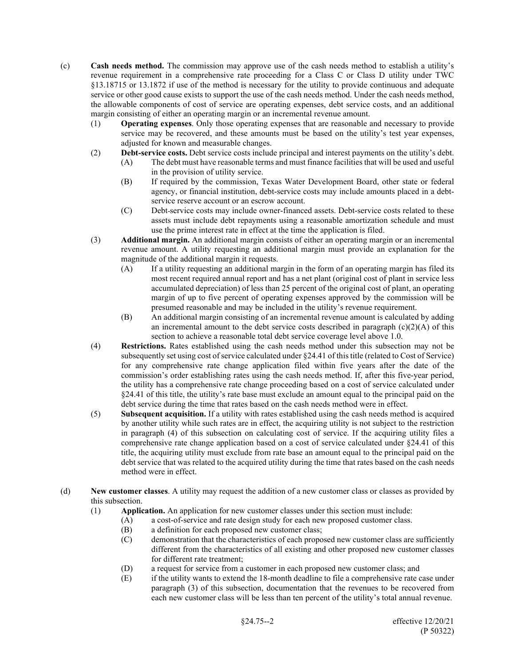- (c) **Cash needs method.** The commission may approve use of the cash needs method to establish a utility's revenue requirement in a comprehensive rate proceeding for a Class C or Class D utility under TWC §13.18715 or 13.1872 if use of the method is necessary for the utility to provide continuous and adequate service or other good cause exists to support the use of the cash needs method. Under the cash needs method, the allowable components of cost of service are operating expenses, debt service costs, and an additional margin consisting of either an operating margin or an incremental revenue amount.
	- (1) **Operating expenses**. Only those operating expenses that are reasonable and necessary to provide service may be recovered, and these amounts must be based on the utility's test year expenses, adjusted for known and measurable changes.
	- (2) **Debt-service costs.** Debt service costs include principal and interest payments on the utility's debt.
		- (A) The debt must have reasonable terms and must finance facilities that will be used and useful in the provision of utility service.
		- (B) If required by the commission, Texas Water Development Board, other state or federal agency, or financial institution, debt-service costs may include amounts placed in a debtservice reserve account or an escrow account.
		- (C) Debt service costs may include owner-financed assets. Debt-service costs related to these assets must include debt repayments using a reasonable amortization schedule and must use the prime interest rate in effect at the time the application is filed.
	- (3) **Additional margin.** An additional margin consists of either an operating margin or an incremental revenue amount. A utility requesting an additional margin must provide an explanation for the magnitude of the additional margin it requests.
		- (A) If a utility requesting an additional margin in the form of an operating margin has filed its most recent required annual report and has a net plant (original cost of plant in service less accumulated depreciation) of less than 25 percent of the original cost of plant, an operating margin of up to five percent of operating expenses approved by the commission will be presumed reasonable and may be included in the utility's revenue requirement.
		- (B) An additional margin consisting of an incremental revenue amount is calculated by adding an incremental amount to the debt service costs described in paragraph  $(c)(2)(A)$  of this section to achieve a reasonable total debt service coverage level above 1.0.
	- (4) **Restrictions.** Rates established using the cash needs method under this subsection may not be subsequently set using cost of service calculated under §24.41 of this title (related to Cost of Service) for any comprehensive rate change application filed within five years after the date of the commission's order establishing rates using the cash needs method. If, after this five-year period, the utility has a comprehensive rate change proceeding based on a cost of service calculated under §24.41 of this title, the utility's rate base must exclude an amount equal to the principal paid on the debt service during the time that rates based on the cash needs method were in effect.
	- (5) **Subsequent acquisition.** If a utility with rates established using the cash needs method is acquired by another utility while such rates are in effect, the acquiring utility is not subject to the restriction in paragraph (4) of this subsection on calculating cost of service. If the acquiring utility files a comprehensive rate change application based on a cost of service calculated under §24.41 of this title, the acquiring utility must exclude from rate base an amount equal to the principal paid on the debt service that was related to the acquired utility during the time that rates based on the cash needs method were in effect.
- (d) **New customer classes**. A utility may request the addition of a new customer class or classes as provided by this subsection.
	- (1) **Application.** An application for new customer classes under this section must include:<br>(A) a cost-of-service and rate design study for each new proposed customer class.
		- a cost-of-service and rate design study for each new proposed customer class.
			- (B) a definition for each proposed new customer class;
			- (C) demonstration that the characteristics of each proposed new customer class are sufficiently different from the characteristics of all existing and other proposed new customer classes for different rate treatment;
			- (D) a request for service from a customer in each proposed new customer class; and
			- (E) if the utility wants to extend the 18-month deadline to file a comprehensive rate case under paragraph (3) of this subsection, documentation that the revenues to be recovered from each new customer class will be less than ten percent of the utility's total annual revenue.